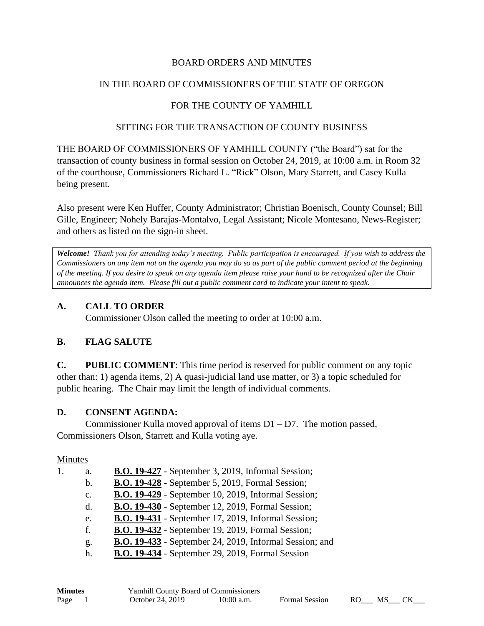#### BOARD ORDERS AND MINUTES

#### IN THE BOARD OF COMMISSIONERS OF THE STATE OF OREGON

### FOR THE COUNTY OF YAMHILL

#### SITTING FOR THE TRANSACTION OF COUNTY BUSINESS

THE BOARD OF COMMISSIONERS OF YAMHILL COUNTY ("the Board") sat for the transaction of county business in formal session on October 24, 2019, at 10:00 a.m. in Room 32 of the courthouse, Commissioners Richard L. "Rick" Olson, Mary Starrett, and Casey Kulla being present.

Also present were Ken Huffer, County Administrator; Christian Boenisch, County Counsel; Bill Gille, Engineer; Nohely Barajas-Montalvo, Legal Assistant; Nicole Montesano, News-Register; and others as listed on the sign-in sheet.

*Welcome! Thank you for attending today's meeting. Public participation is encouraged. If you wish to address the Commissioners on any item not on the agenda you may do so as part of the public comment period at the beginning of the meeting. If you desire to speak on any agenda item please raise your hand to be recognized after the Chair announces the agenda item. Please fill out a public comment card to indicate your intent to speak.*

#### **A. CALL TO ORDER**

Commissioner Olson called the meeting to order at 10:00 a.m.

#### **B. FLAG SALUTE**

**C. PUBLIC COMMENT**: This time period is reserved for public comment on any topic other than: 1) agenda items, 2) A quasi-judicial land use matter, or 3) a topic scheduled for public hearing. The Chair may limit the length of individual comments.

#### **D. CONSENT AGENDA:**

Commissioner Kulla moved approval of items D1 – D7. The motion passed, Commissioners Olson, Starrett and Kulla voting aye.

#### Minutes

| 1. | a.             | <b>B.O. 19-427</b> - September 3, 2019, Informal Session;      |
|----|----------------|----------------------------------------------------------------|
|    | $\mathbf{b}$ . | <b>B.O. 19-428</b> - September 5, 2019, Formal Session;        |
|    | $C_{\bullet}$  | <b>B.O. 19-429</b> - September 10, 2019, Informal Session;     |
|    | d.             | <b>B.O. 19-430</b> - September 12, 2019, Formal Session;       |
|    | e.             | <b>B.O. 19-431</b> - September 17, 2019, Informal Session;     |
|    | f.             | <b>B.O. 19-432</b> - September 19, 2019, Formal Session;       |
|    | g.             | <b>B.O. 19-433</b> - September 24, 2019, Informal Session; and |
|    | h.             | <b>B.O. 19-434</b> - September 29, 2019, Formal Session        |
|    |                |                                                                |

| <b>Minutes</b> | <b>Yamhill County Board of Commissioners</b> |              |                       |                 |       |
|----------------|----------------------------------------------|--------------|-----------------------|-----------------|-------|
| Page 1         | October 24, 2019                             | $10:00$ a.m. | <b>Formal Session</b> | RO <sub>1</sub> | MS CK |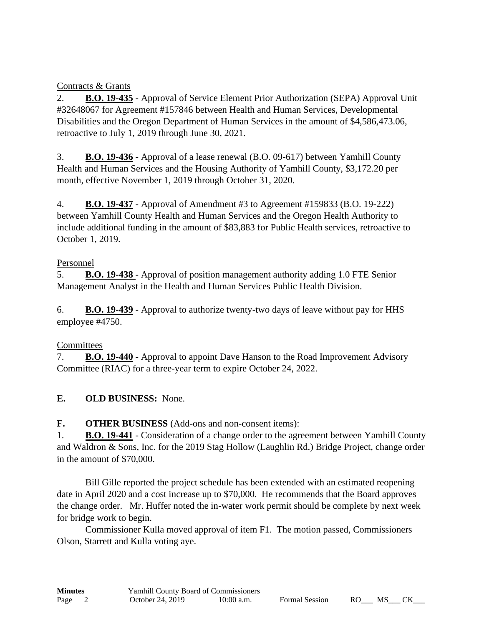Contracts & Grants

2. **B.O. 19-435** - Approval of Service Element Prior Authorization (SEPA) Approval Unit #32648067 for Agreement #157846 between Health and Human Services, Developmental Disabilities and the Oregon Department of Human Services in the amount of \$4,586,473.06, retroactive to July 1, 2019 through June 30, 2021.

3. **B.O. 19-436** - Approval of a lease renewal (B.O. 09-617) between Yamhill County Health and Human Services and the Housing Authority of Yamhill County, \$3,172.20 per month, effective November 1, 2019 through October 31, 2020.

4. **B.O. 19-437** - Approval of Amendment #3 to Agreement #159833 (B.O. 19-222) between Yamhill County Health and Human Services and the Oregon Health Authority to include additional funding in the amount of \$83,883 for Public Health services, retroactive to October 1, 2019.

### Personnel

5. **B.O. 19-438** - Approval of position management authority adding 1.0 FTE Senior Management Analyst in the Health and Human Services Public Health Division.

6. **B.O. 19-439** - Approval to authorize twenty-two days of leave without pay for HHS employee #4750.

# **Committees**

7. **B.O. 19-440** - Approval to appoint Dave Hanson to the Road Improvement Advisory Committee (RIAC) for a three-year term to expire October 24, 2022.

# **E. OLD BUSINESS:** None.

**F. OTHER BUSINESS** (Add-ons and non-consent items):

1. **B.O. 19-441** - Consideration of a change order to the agreement between Yamhill County and Waldron & Sons, Inc. for the 2019 Stag Hollow (Laughlin Rd.) Bridge Project, change order in the amount of \$70,000.

Bill Gille reported the project schedule has been extended with an estimated reopening date in April 2020 and a cost increase up to \$70,000. He recommends that the Board approves the change order. Mr. Huffer noted the in-water work permit should be complete by next week for bridge work to begin.

Commissioner Kulla moved approval of item F1. The motion passed, Commissioners Olson, Starrett and Kulla voting aye.